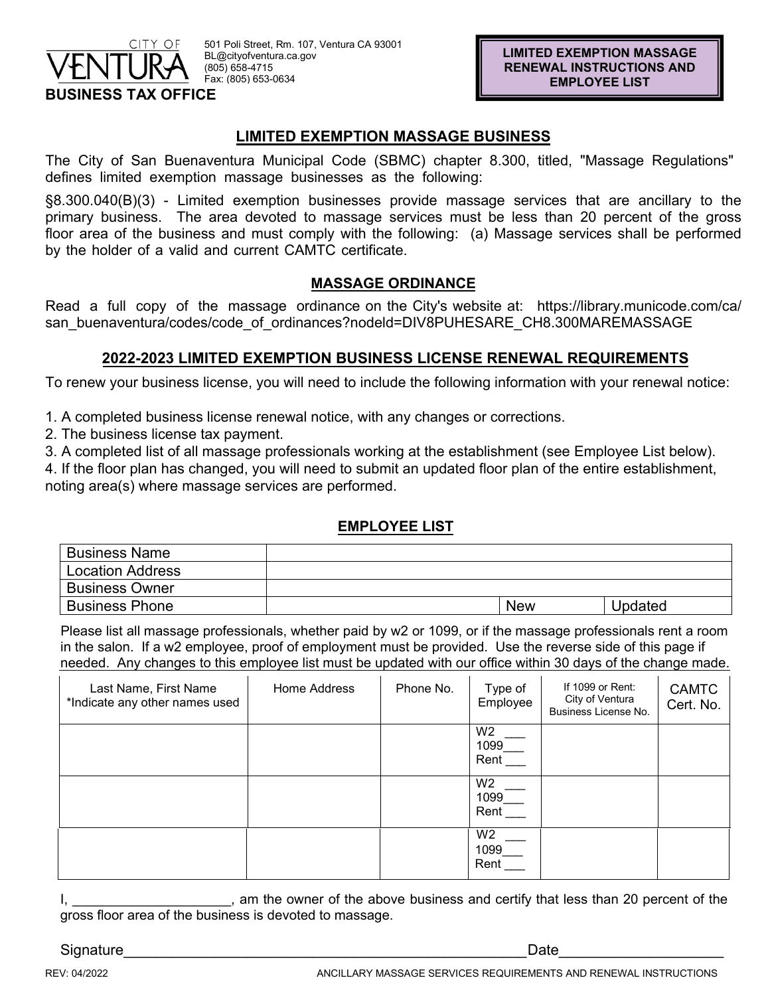

# **LIMITED EXEMPTION MASSAGE BUSINESS**

The City of San Buenaventura Municipal Code (SBMC) chapter 8.300, titled, "Massage Regulations" defines limited exemption massage businesses as the following:

§8.300.040(B)(3) - Limited exemption businesses provide massage services that are ancillary to the primary business. The area devoted to massage services must be less than 20 percent of the gross floor area of the business and must comply with the following: (a) Massage services shall be performed by the holder of a valid and current CAMTC certificate.

# **MASSAGE ORDINANCE**

Read a full copy of the massage ordinance on the City's website at: https://library.municode.com/ca/ san\_buenaventura/codes/code\_of\_ordinances?nodeld=DIV8PUHESARE\_CH8.300MAREMASSAGE

# **2022-2023 LIMITED EXEMPTION BUSINESS LICENSE RENEWAL REQUIREMENTS**

To renew your business license, you will need to include the following information with your renewal notice:

1. A completed business license renewal notice, with any changes or corrections.

2. The business license tax payment.

3. A completed list of all massage professionals working at the establishment (see Employee List below).

4. If the floor plan has changed, you will need to submit an updated floor plan of the entire establishment, noting area(s) where massage services are performed.

### **EMPLOYEE LIST**

| <b>Business Name</b>    |            |         |
|-------------------------|------------|---------|
| <b>Location Address</b> |            |         |
| <b>Business Owner</b>   |            |         |
| <b>Business Phone</b>   | <b>New</b> | Updated |

Please list all massage professionals, whether paid by w2 or 1099, or if the massage professionals rent a room in the salon. If a w2 employee, proof of employment must be provided. Use the reverse side of this page if needed. Any changes to this employee list must be updated with our office within 30 days of the change made.

| Last Name, First Name<br>*Indicate any other names used | Home Address | Phone No. | Type of<br>Employee            | If 1099 or Rent:<br>City of Ventura<br>Business License No. | <b>CAMTC</b><br>Cert. No. |
|---------------------------------------------------------|--------------|-----------|--------------------------------|-------------------------------------------------------------|---------------------------|
|                                                         |              |           | W <sub>2</sub><br>1099<br>Rent |                                                             |                           |
|                                                         |              |           | W <sub>2</sub><br>1099<br>Rent |                                                             |                           |
|                                                         |              |           | W <sub>2</sub><br>1099<br>Rent |                                                             |                           |

I, am the owner of the above business and certify that less than 20 percent of the gross floor area of the business is devoted to massage.

Signature\_\_\_\_\_\_\_\_\_\_\_\_\_\_\_\_\_\_\_\_\_\_\_\_\_\_\_\_\_\_\_\_\_\_\_\_\_\_\_\_\_\_\_\_\_\_\_\_\_Date\_\_\_\_\_\_\_\_\_\_\_\_\_\_\_\_\_\_\_\_